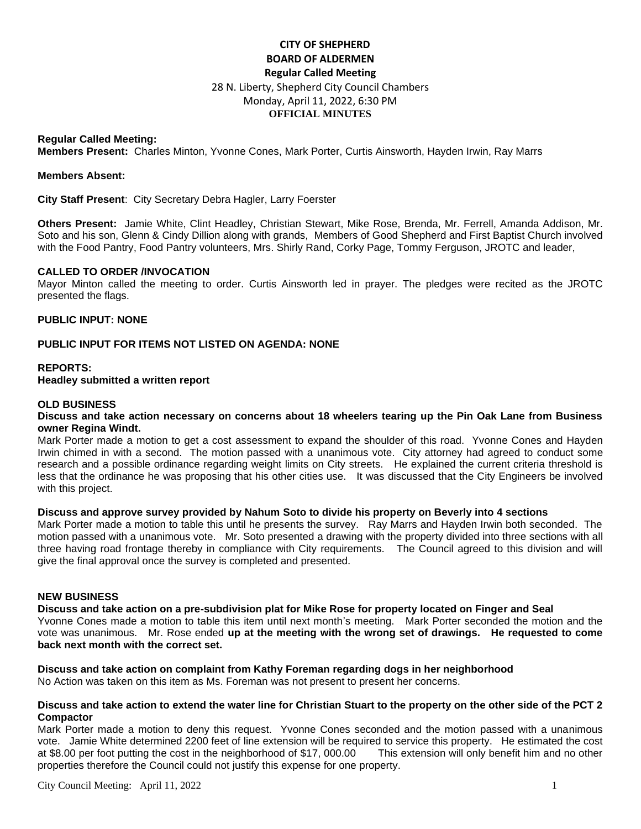# **CITY OF SHEPHERD BOARD OF ALDERMEN Regular Called Meeting**  28 N. Liberty, Shepherd City Council Chambers Monday, April 11, 2022, 6:30 PM **OFFICIAL MINUTES**

## **Regular Called Meeting:**

**Members Present:** Charles Minton, Yvonne Cones, Mark Porter, Curtis Ainsworth, Hayden Irwin, Ray Marrs

#### **Members Absent:**

**City Staff Present**: City Secretary Debra Hagler, Larry Foerster

**Others Present:** Jamie White, Clint Headley, Christian Stewart, Mike Rose, Brenda, Mr. Ferrell, Amanda Addison, Mr. Soto and his son, Glenn & Cindy Dillion along with grands, Members of Good Shepherd and First Baptist Church involved with the Food Pantry, Food Pantry volunteers, Mrs. Shirly Rand, Corky Page, Tommy Ferguson, JROTC and leader,

## **CALLED TO ORDER /INVOCATION**

Mayor Minton called the meeting to order. Curtis Ainsworth led in prayer. The pledges were recited as the JROTC presented the flags.

## **PUBLIC INPUT: NONE**

## **PUBLIC INPUT FOR ITEMS NOT LISTED ON AGENDA: NONE**

#### **REPORTS: Headley submitted a written report**

## **OLD BUSINESS**

## **Discuss and take action necessary on concerns about 18 wheelers tearing up the Pin Oak Lane from Business owner Regina Windt.**

Mark Porter made a motion to get a cost assessment to expand the shoulder of this road. Yvonne Cones and Hayden Irwin chimed in with a second. The motion passed with a unanimous vote. City attorney had agreed to conduct some research and a possible ordinance regarding weight limits on City streets. He explained the current criteria threshold is less that the ordinance he was proposing that his other cities use. It was discussed that the City Engineers be involved with this project.

#### **Discuss and approve survey provided by Nahum Soto to divide his property on Beverly into 4 sections**

Mark Porter made a motion to table this until he presents the survey. Ray Marrs and Hayden Irwin both seconded. The motion passed with a unanimous vote. Mr. Soto presented a drawing with the property divided into three sections with all three having road frontage thereby in compliance with City requirements. The Council agreed to this division and will give the final approval once the survey is completed and presented.

#### **NEW BUSINESS**

**Discuss and take action on a pre-subdivision plat for Mike Rose for property located on Finger and Seal** Yvonne Cones made a motion to table this item until next month's meeting. Mark Porter seconded the motion and the vote was unanimous. Mr. Rose ended **up at the meeting with the wrong set of drawings. He requested to come back next month with the correct set.**

## **Discuss and take action on complaint from Kathy Foreman regarding dogs in her neighborhood**

No Action was taken on this item as Ms. Foreman was not present to present her concerns.

#### **Discuss and take action to extend the water line for Christian Stuart to the property on the other side of the PCT 2 Compactor**

Mark Porter made a motion to deny this request. Yvonne Cones seconded and the motion passed with a unanimous vote. Jamie White determined 2200 feet of line extension will be required to service this property. He estimated the cost at \$8.00 per foot putting the cost in the neighborhood of \$17, 000.00 This extension will only benefit him and no other properties therefore the Council could not justify this expense for one property.